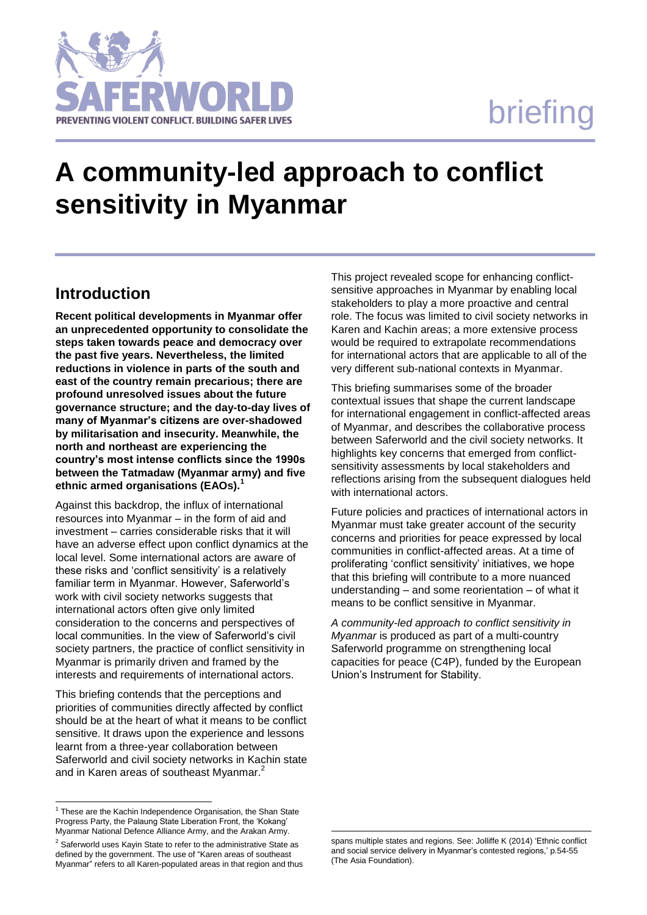# briefing



## **A community-led approach to conflict sensitivity in Myanmar**

## **Introduction**

**Recent political developments in Myanmar offer an unprecedented opportunity to consolidate the steps taken towards peace and democracy over the past five years. Nevertheless, the limited reductions in violence in parts of the south and east of the country remain precarious; there are profound unresolved issues about the future governance structure; and the day-to-day lives of many of Myanmar's citizens are over-shadowed by militarisation and insecurity. Meanwhile, the north and northeast are experiencing the country's most intense conflicts since the 1990s between the Tatmadaw (Myanmar army) and five ethnic armed organisations (EAOs).<sup>1</sup>**

Against this backdrop, the influx of international resources into Myanmar – in the form of aid and investment – carries considerable risks that it will have an adverse effect upon conflict dynamics at the local level. Some international actors are aware of these risks and 'conflict sensitivity' is a relatively familiar term in Myanmar. However, Saferworld's work with civil society networks suggests that international actors often give only limited consideration to the concerns and perspectives of local communities. In the view of Saferworld's civil society partners, the practice of conflict sensitivity in Myanmar is primarily driven and framed by the interests and requirements of international actors.

This briefing contends that the perceptions and priorities of communities directly affected by conflict should be at the heart of what it means to be conflict sensitive. It draws upon the experience and lessons learnt from a three-year collaboration between Saferworld and civil society networks in Kachin state and in Karen areas of southeast Myanmar.<sup>2</sup>

l

This project revealed scope for enhancing conflictsensitive approaches in Myanmar by enabling local stakeholders to play a more proactive and central role. The focus was limited to civil society networks in Karen and Kachin areas; a more extensive process would be required to extrapolate recommendations for international actors that are applicable to all of the very different sub-national contexts in Myanmar.

This briefing summarises some of the broader contextual issues that shape the current landscape for international engagement in conflict-affected areas of Myanmar, and describes the collaborative process between Saferworld and the civil society networks. It highlights key concerns that emerged from conflictsensitivity assessments by local stakeholders and reflections arising from the subsequent dialogues held with international actors.

Future policies and practices of international actors in Myanmar must take greater account of the security concerns and priorities for peace expressed by local communities in conflict-affected areas. At a time of proliferating 'conflict sensitivity' initiatives, we hope that this briefing will contribute to a more nuanced understanding – and some reorientation – of what it means to be conflict sensitive in Myanmar.

*A community-led approach to conflict sensitivity in Myanmar* is produced as part of a multi-country Saferworld programme on strengthening local capacities for peace (C4P), funded by the European Union's Instrument for Stability.

l

<sup>&</sup>lt;sup>1</sup> These are the Kachin Independence Organisation, the Shan State Progress Party, the Palaung State Liberation Front, the 'Kokang' Myanmar National Defence Alliance Army, and the Arakan Army.

<sup>&</sup>lt;sup>2</sup> Saferworld uses Kayin State to refer to the administrative State as defined by the government. The use of "Karen areas of southeast Myanmar" refers to all Karen-populated areas in that region and thus

spans multiple states and regions. See: Jolliffe K (2014) 'Ethnic conflict and social service delivery in Myanmar's contested regions,' p.54-55 (The Asia Foundation).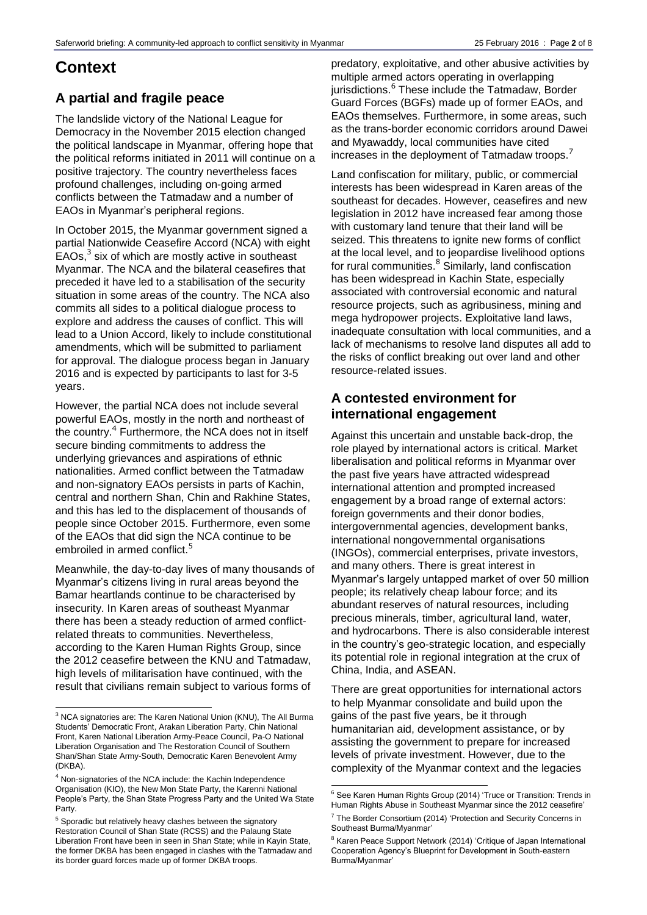## **Context**

## **A partial and fragile peace**

The landslide victory of the National League for Democracy in the November 2015 election changed the political landscape in Myanmar, offering hope that the political reforms initiated in 2011 will continue on a positive trajectory. The country nevertheless faces profound challenges, including on-going armed conflicts between the Tatmadaw and a number of EAOs in Myanmar's peripheral regions.

In October 2015, the Myanmar government signed a partial Nationwide Ceasefire Accord (NCA) with eight EAOs,<sup>3</sup> six of which are mostly active in southeast Myanmar. The NCA and the bilateral ceasefires that preceded it have led to a stabilisation of the security situation in some areas of the country. The NCA also commits all sides to a political dialogue process to explore and address the causes of conflict. This will lead to a Union Accord, likely to include constitutional amendments, which will be submitted to parliament for approval. The dialogue process began in January 2016 and is expected by participants to last for 3-5 years.

However, the partial NCA does not include several powerful EAOs, mostly in the north and northeast of the country.<sup>4</sup> Furthermore, the NCA does not in itself secure binding commitments to address the underlying grievances and aspirations of ethnic nationalities. Armed conflict between the Tatmadaw and non-signatory EAOs persists in parts of Kachin, central and northern Shan, Chin and Rakhine States, and this has led to the displacement of thousands of people since October 2015. Furthermore, even some of the EAOs that did sign the NCA continue to be embroiled in armed conflict.<sup>5</sup>

Meanwhile, the day-to-day lives of many thousands of Myanmar's citizens living in rural areas beyond the Bamar heartlands continue to be characterised by insecurity. In Karen areas of southeast Myanmar there has been a steady reduction of armed conflictrelated threats to communities. Nevertheless, according to the Karen Human Rights Group, since the 2012 ceasefire between the KNU and Tatmadaw, high levels of militarisation have continued, with the result that civilians remain subject to various forms of

-

predatory, exploitative, and other abusive activities by multiple armed actors operating in overlapping jurisdictions. <sup>6</sup> These include the Tatmadaw, Border Guard Forces (BGFs) made up of former EAOs, and EAOs themselves. Furthermore, in some areas, such as the trans-border economic corridors around Dawei and Myawaddy, local communities have cited increases in the deployment of Tatmadaw troops.<sup>7</sup>

Land confiscation for military, public, or commercial interests has been widespread in Karen areas of the southeast for decades. However, ceasefires and new legislation in 2012 have increased fear among those with customary land tenure that their land will be seized. This threatens to ignite new forms of conflict at the local level, and to jeopardise livelihood options for rural communities. $8$  Similarly, land confiscation has been widespread in Kachin State, especially associated with controversial economic and natural resource projects, such as agribusiness, mining and mega hydropower projects. Exploitative land laws, inadequate consultation with local communities, and a lack of mechanisms to resolve land disputes all add to the risks of conflict breaking out over land and other resource-related issues.

## **A contested environment for international engagement**

Against this uncertain and unstable back-drop, the role played by international actors is critical. Market liberalisation and political reforms in Myanmar over the past five years have attracted widespread international attention and prompted increased engagement by a broad range of external actors: foreign governments and their donor bodies, intergovernmental agencies, development banks, international nongovernmental organisations (INGOs), commercial enterprises, private investors, and many others. There is great interest in Myanmar's largely untapped market of over 50 million people; its relatively cheap labour force; and its abundant reserves of natural resources, including precious minerals, timber, agricultural land, water, and hydrocarbons. There is also considerable interest in the country's geo-strategic location, and especially its potential role in regional integration at the crux of China, India, and ASEAN.

There are great opportunities for international actors to help Myanmar consolidate and build upon the gains of the past five years, be it through humanitarian aid, development assistance, or by assisting the government to prepare for increased levels of private investment. However, due to the complexity of the Myanmar context and the legacies

<sup>&</sup>lt;sup>3</sup> NCA signatories are: The Karen National Union (KNU), The All Burma Students' Democratic Front, Arakan Liberation Party, Chin National Front, Karen National Liberation Army-Peace Council, Pa-O National Liberation Organisation and The Restoration Council of Southern Shan/Shan State Army-South, Democratic Karen Benevolent Army (DKBA).

<sup>&</sup>lt;sup>4</sup> Non-signatories of the NCA include: the Kachin Independence Organisation (KIO), the New Mon State Party, the Karenni National People's Party, the Shan State Progress Party and the United Wa State Party.

<sup>5</sup> Sporadic but relatively heavy clashes between the signatory Restoration Council of Shan State (RCSS) and the Palaung State Liberation Front have been in seen in Shan State; while in Kayin State, the former DKBA has been engaged in clashes with the Tatmadaw and its border guard forces made up of former DKBA troops.

l  $6$  See Karen Human Rights Group (2014) 'Truce or Transition: Trends in Human Rights Abuse in Southeast Myanmar since the 2012 ceasefire'

<sup>&</sup>lt;sup>7</sup> The Border Consortium (2014) 'Protection and Security Concerns in Southeast Burma/Myanmar'

<sup>&</sup>lt;sup>8</sup> Karen Peace Support Network (2014) 'Critique of Japan International Cooperation Agency's Blueprint for Development in South-eastern Burma/Myanmar'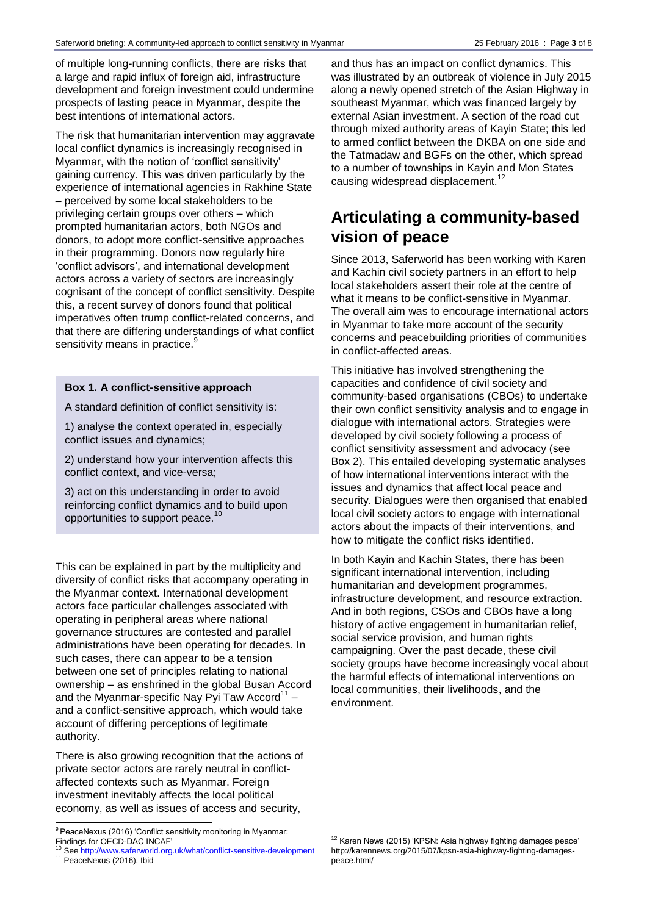of multiple long-running conflicts, there are risks that a large and rapid influx of foreign aid, infrastructure development and foreign investment could undermine prospects of lasting peace in Myanmar, despite the best intentions of international actors.

The risk that humanitarian intervention may aggravate local conflict dynamics is increasingly recognised in Myanmar, with the notion of 'conflict sensitivity' gaining currency. This was driven particularly by the experience of international agencies in Rakhine State – perceived by some local stakeholders to be privileging certain groups over others – which prompted humanitarian actors, both NGOs and donors, to adopt more conflict-sensitive approaches in their programming. Donors now regularly hire 'conflict advisors', and international development actors across a variety of sectors are increasingly cognisant of the concept of conflict sensitivity. Despite this, a recent survey of donors found that political imperatives often trump conflict-related concerns, and that there are differing understandings of what conflict sensitivity means in practice.<sup>9</sup>

#### **Box 1. A conflict-sensitive approach**

A standard definition of conflict sensitivity is:

1) analyse the context operated in, especially conflict issues and dynamics;

2) understand how your intervention affects this conflict context, and vice-versa;

3) act on this understanding in order to avoid reinforcing conflict dynamics and to build upon opportunities to support peace.<sup>10</sup>

This can be explained in part by the multiplicity and diversity of conflict risks that accompany operating in the Myanmar context. International development actors face particular challenges associated with operating in peripheral areas where national governance structures are contested and parallel administrations have been operating for decades. In such cases, there can appear to be a tension between one set of principles relating to national ownership – as enshrined in the global Busan Accord and the Myanmar-specific Nay Pyi Taw Accord $^{\rm 11}$ and a conflict-sensitive approach, which would take account of differing perceptions of legitimate authority.

There is also growing recognition that the actions of private sector actors are rarely neutral in conflictaffected contexts such as Myanmar. Foreign investment inevitably affects the local political economy, as well as issues of access and security,

l

<sup>11</sup> PeaceNexus (2016), Ibid

and thus has an impact on conflict dynamics. This was illustrated by an outbreak of violence in July 2015 along a newly opened stretch of the Asian Highway in southeast Myanmar, which was financed largely by external Asian investment. A section of the road cut through mixed authority areas of Kayin State; this led to armed conflict between the DKBA on one side and the Tatmadaw and BGFs on the other, which spread to a number of townships in Kayin and Mon States causing widespread displacement.<sup>12</sup>

## **Articulating a community-based vision of peace**

Since 2013, Saferworld has been working with Karen and Kachin civil society partners in an effort to help local stakeholders assert their role at the centre of what it means to be conflict-sensitive in Myanmar. The overall aim was to encourage international actors in Myanmar to take more account of the security concerns and peacebuilding priorities of communities in conflict-affected areas.

This initiative has involved strengthening the capacities and confidence of civil society and community-based organisations (CBOs) to undertake their own conflict sensitivity analysis and to engage in dialogue with international actors. Strategies were developed by civil society following a process of conflict sensitivity assessment and advocacy (see Box 2). This entailed developing systematic analyses of how international interventions interact with the issues and dynamics that affect local peace and security. Dialogues were then organised that enabled local civil society actors to engage with international actors about the impacts of their interventions, and how to mitigate the conflict risks identified.

In both Kayin and Kachin States, there has been significant international intervention, including humanitarian and development programmes, infrastructure development, and resource extraction. And in both regions, CSOs and CBOs have a long history of active engagement in humanitarian relief, social service provision, and human rights campaigning. Over the past decade, these civil society groups have become increasingly vocal about the harmful effects of international interventions on local communities, their livelihoods, and the environment.

l

<sup>&</sup>lt;sup>9</sup> PeaceNexus (2016) 'Conflict sensitivity monitoring in Myanmar: Findings for OECD-DAC INCAF'<br><sup>10</sup> See <u>http://www.saferworld.org.uk/what/conflict-sensitive-development</u>

 $12$  Karen News (2015) 'KPSN: Asia highway fighting damages peace' http://karennews.org/2015/07/kpsn-asia-highway-fighting-damagespeace.html/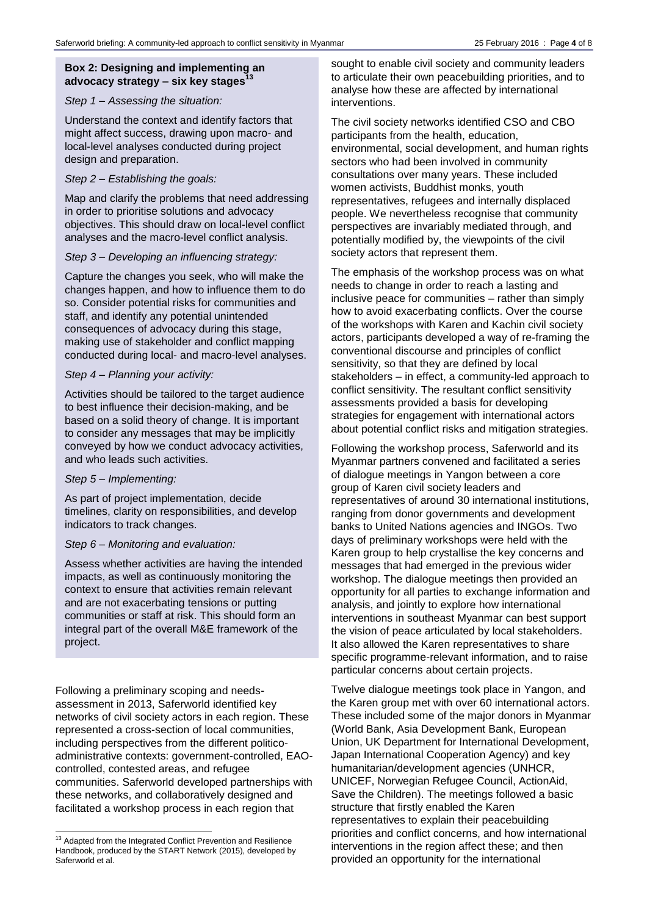#### **Box 2: Designing and implementing an advocacy strategy – six key stages<sup>13</sup>**

#### *Step 1 – Assessing the situation:*

Understand the context and identify factors that might affect success, drawing upon macro- and local-level analyses conducted during project design and preparation.

#### *Step 2 – Establishing the goals:*

Map and clarify the problems that need addressing in order to prioritise solutions and advocacy objectives. This should draw on local-level conflict analyses and the macro-level conflict analysis.

#### *Step 3 – Developing an influencing strategy:*

Capture the changes you seek, who will make the changes happen, and how to influence them to do so. Consider potential risks for communities and staff, and identify any potential unintended consequences of advocacy during this stage, making use of stakeholder and conflict mapping conducted during local- and macro-level analyses.

#### *Step 4 – Planning your activity:*

Activities should be tailored to the target audience to best influence their decision-making, and be based on a solid theory of change. It is important to consider any messages that may be implicitly conveyed by how we conduct advocacy activities, and who leads such activities.

#### *Step 5 – Implementing:*

As part of project implementation, decide timelines, clarity on responsibilities, and develop indicators to track changes.

#### *Step 6 – Monitoring and evaluation:*

Assess whether activities are having the intended impacts, as well as continuously monitoring the context to ensure that activities remain relevant and are not exacerbating tensions or putting communities or staff at risk. This should form an integral part of the overall M&E framework of the project.

Following a preliminary scoping and needsassessment in 2013, Saferworld identified key networks of civil society actors in each region. These represented a cross-section of local communities, including perspectives from the different politicoadministrative contexts: government-controlled, EAOcontrolled, contested areas, and refugee communities. Saferworld developed partnerships with these networks, and collaboratively designed and facilitated a workshop process in each region that

l

sought to enable civil society and community leaders to articulate their own peacebuilding priorities, and to analyse how these are affected by international interventions.

The civil society networks identified CSO and CBO participants from the health, education, environmental, social development, and human rights sectors who had been involved in community consultations over many years. These included women activists, Buddhist monks, youth representatives, refugees and internally displaced people. We nevertheless recognise that community perspectives are invariably mediated through, and potentially modified by, the viewpoints of the civil society actors that represent them.

The emphasis of the workshop process was on what needs to change in order to reach a lasting and inclusive peace for communities – rather than simply how to avoid exacerbating conflicts. Over the course of the workshops with Karen and Kachin civil society actors, participants developed a way of re-framing the conventional discourse and principles of conflict sensitivity, so that they are defined by local stakeholders – in effect, a community-led approach to conflict sensitivity. The resultant conflict sensitivity assessments provided a basis for developing strategies for engagement with international actors about potential conflict risks and mitigation strategies.

Following the workshop process, Saferworld and its Myanmar partners convened and facilitated a series of dialogue meetings in Yangon between a core group of Karen civil society leaders and representatives of around 30 international institutions, ranging from donor governments and development banks to United Nations agencies and INGOs. Two days of preliminary workshops were held with the Karen group to help crystallise the key concerns and messages that had emerged in the previous wider workshop. The dialogue meetings then provided an opportunity for all parties to exchange information and analysis, and jointly to explore how international interventions in southeast Myanmar can best support the vision of peace articulated by local stakeholders. It also allowed the Karen representatives to share specific programme-relevant information, and to raise particular concerns about certain projects.

Twelve dialogue meetings took place in Yangon, and the Karen group met with over 60 international actors. These included some of the major donors in Myanmar (World Bank, Asia Development Bank, European Union, UK Department for International Development, Japan International Cooperation Agency) and key humanitarian/development agencies (UNHCR, UNICEF, Norwegian Refugee Council, ActionAid, Save the Children). The meetings followed a basic structure that firstly enabled the Karen representatives to explain their peacebuilding priorities and conflict concerns, and how international interventions in the region affect these; and then provided an opportunity for the international

<sup>&</sup>lt;sup>13</sup> Adapted from the Integrated Conflict Prevention and Resilience Handbook, produced by the START Network (2015), developed by Saferworld et al.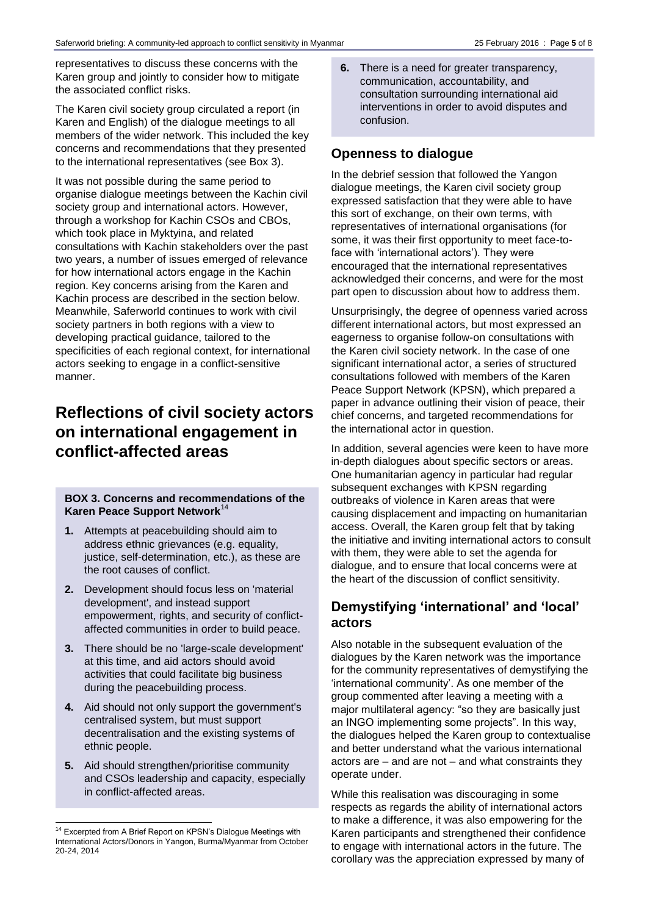representatives to discuss these concerns with the Karen group and jointly to consider how to mitigate the associated conflict risks.

The Karen civil society group circulated a report (in Karen and English) of the dialogue meetings to all members of the wider network. This included the key concerns and recommendations that they presented to the international representatives (see Box 3).

It was not possible during the same period to organise dialogue meetings between the Kachin civil society group and international actors. However, through a workshop for Kachin CSOs and CBOs, which took place in Myktyina, and related consultations with Kachin stakeholders over the past two years, a number of issues emerged of relevance for how international actors engage in the Kachin region. Key concerns arising from the Karen and Kachin process are described in the section below. Meanwhile, Saferworld continues to work with civil society partners in both regions with a view to developing practical guidance, tailored to the specificities of each regional context, for international actors seeking to engage in a conflict-sensitive manner.

## **Reflections of civil society actors on international engagement in conflict-affected areas**

#### **BOX 3. Concerns and recommendations of the Karen Peace Support Network**<sup>14</sup>

- **1.** Attempts at peacebuilding should aim to address ethnic grievances (e.g. equality, justice, self-determination, etc.), as these are the root causes of conflict.
- **2.** Development should focus less on 'material development', and instead support empowerment, rights, and security of conflictaffected communities in order to build peace.
- **3.** There should be no 'large-scale development' at this time, and aid actors should avoid activities that could facilitate big business during the peacebuilding process.
- **4.** Aid should not only support the government's centralised system, but must support decentralisation and the existing systems of ethnic people.
- **5.** Aid should strengthen/prioritise community and CSOs leadership and capacity, especially in conflict-affected areas.

**6.** There is a need for greater transparency, communication, accountability, and consultation surrounding international aid interventions in order to avoid disputes and confusion.

## **Openness to dialogue**

In the debrief session that followed the Yangon dialogue meetings, the Karen civil society group expressed satisfaction that they were able to have this sort of exchange, on their own terms, with representatives of international organisations (for some, it was their first opportunity to meet face-toface with 'international actors'). They were encouraged that the international representatives acknowledged their concerns, and were for the most part open to discussion about how to address them.

Unsurprisingly, the degree of openness varied across different international actors, but most expressed an eagerness to organise follow-on consultations with the Karen civil society network. In the case of one significant international actor, a series of structured consultations followed with members of the Karen Peace Support Network (KPSN), which prepared a paper in advance outlining their vision of peace, their chief concerns, and targeted recommendations for the international actor in question.

In addition, several agencies were keen to have more in-depth dialogues about specific sectors or areas. One humanitarian agency in particular had regular subsequent exchanges with KPSN regarding outbreaks of violence in Karen areas that were causing displacement and impacting on humanitarian access. Overall, the Karen group felt that by taking the initiative and inviting international actors to consult with them, they were able to set the agenda for dialogue, and to ensure that local concerns were at the heart of the discussion of conflict sensitivity.

## **Demystifying 'international' and 'local' actors**

Also notable in the subsequent evaluation of the dialogues by the Karen network was the importance for the community representatives of demystifying the 'international community'. As one member of the group commented after leaving a meeting with a major multilateral agency: "so they are basically just an INGO implementing some projects". In this way, the dialogues helped the Karen group to contextualise and better understand what the various international actors are – and are not – and what constraints they operate under.

While this realisation was discouraging in some respects as regards the ability of international actors to make a difference, it was also empowering for the Karen participants and strengthened their confidence to engage with international actors in the future. The corollary was the appreciation expressed by many of

l  $14$  Excerpted from A Brief Report on KPSN's Dialogue Meetings with International Actors/Donors in Yangon, Burma/Myanmar from October 20-24, 2014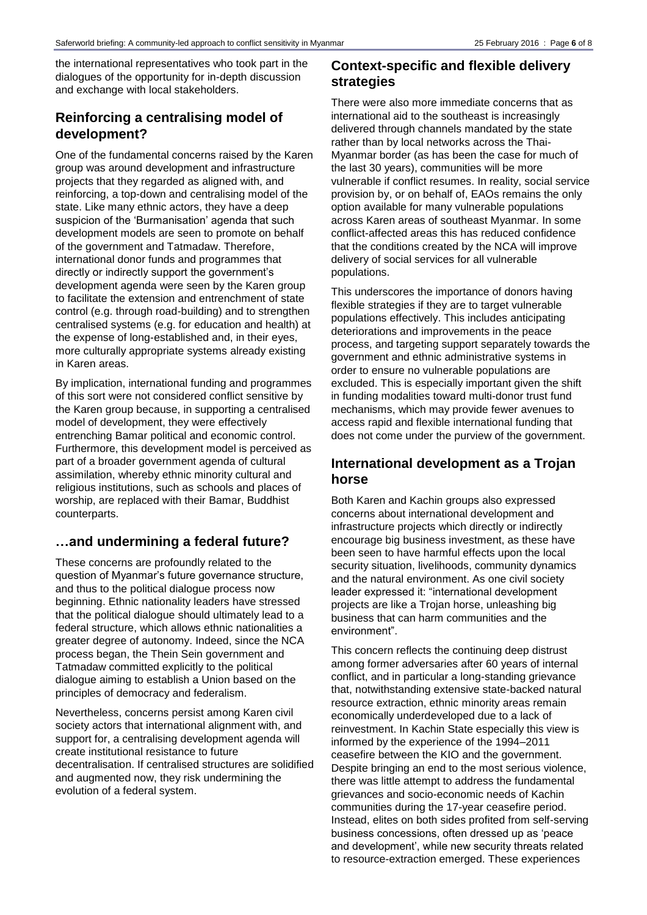the international representatives who took part in the dialogues of the opportunity for in-depth discussion and exchange with local stakeholders.

## **Reinforcing a centralising model of development?**

One of the fundamental concerns raised by the Karen group was around development and infrastructure projects that they regarded as aligned with, and reinforcing, a top-down and centralising model of the state. Like many ethnic actors, they have a deep suspicion of the 'Burmanisation' agenda that such development models are seen to promote on behalf of the government and Tatmadaw. Therefore, international donor funds and programmes that directly or indirectly support the government's development agenda were seen by the Karen group to facilitate the extension and entrenchment of state control (e.g. through road-building) and to strengthen centralised systems (e.g. for education and health) at the expense of long-established and, in their eyes, more culturally appropriate systems already existing in Karen areas.

By implication, international funding and programmes of this sort were not considered conflict sensitive by the Karen group because, in supporting a centralised model of development, they were effectively entrenching Bamar political and economic control. Furthermore, this development model is perceived as part of a broader government agenda of cultural assimilation, whereby ethnic minority cultural and religious institutions, such as schools and places of worship, are replaced with their Bamar, Buddhist counterparts.

## **…and undermining a federal future?**

These concerns are profoundly related to the question of Myanmar's future governance structure, and thus to the political dialogue process now beginning. Ethnic nationality leaders have stressed that the political dialogue should ultimately lead to a federal structure, which allows ethnic nationalities a greater degree of autonomy. Indeed, since the NCA process began, the Thein Sein government and Tatmadaw committed explicitly to the political dialogue aiming to establish a Union based on the principles of democracy and federalism.

Nevertheless, concerns persist among Karen civil society actors that international alignment with, and support for, a centralising development agenda will create institutional resistance to future decentralisation. If centralised structures are solidified and augmented now, they risk undermining the evolution of a federal system.

## **Context-specific and flexible delivery strategies**

There were also more immediate concerns that as international aid to the southeast is increasingly delivered through channels mandated by the state rather than by local networks across the Thai-Myanmar border (as has been the case for much of the last 30 years), communities will be more vulnerable if conflict resumes. In reality, social service provision by, or on behalf of, EAOs remains the only option available for many vulnerable populations across Karen areas of southeast Myanmar. In some conflict-affected areas this has reduced confidence that the conditions created by the NCA will improve delivery of social services for all vulnerable populations.

This underscores the importance of donors having flexible strategies if they are to target vulnerable populations effectively. This includes anticipating deteriorations and improvements in the peace process, and targeting support separately towards the government and ethnic administrative systems in order to ensure no vulnerable populations are excluded. This is especially important given the shift in funding modalities toward multi-donor trust fund mechanisms, which may provide fewer avenues to access rapid and flexible international funding that does not come under the purview of the government.

## **International development as a Trojan horse**

Both Karen and Kachin groups also expressed concerns about international development and infrastructure projects which directly or indirectly encourage big business investment, as these have been seen to have harmful effects upon the local security situation, livelihoods, community dynamics and the natural environment. As one civil society leader expressed it: "international development projects are like a Trojan horse, unleashing big business that can harm communities and the environment".

This concern reflects the continuing deep distrust among former adversaries after 60 years of internal conflict, and in particular a long-standing grievance that, notwithstanding extensive state-backed natural resource extraction, ethnic minority areas remain economically underdeveloped due to a lack of reinvestment. In Kachin State especially this view is informed by the experience of the 1994–2011 ceasefire between the KIO and the government. Despite bringing an end to the most serious violence, there was little attempt to address the fundamental grievances and socio-economic needs of Kachin communities during the 17-year ceasefire period. Instead, elites on both sides profited from self-serving business concessions, often dressed up as 'peace and development', while new security threats related to resource-extraction emerged. These experiences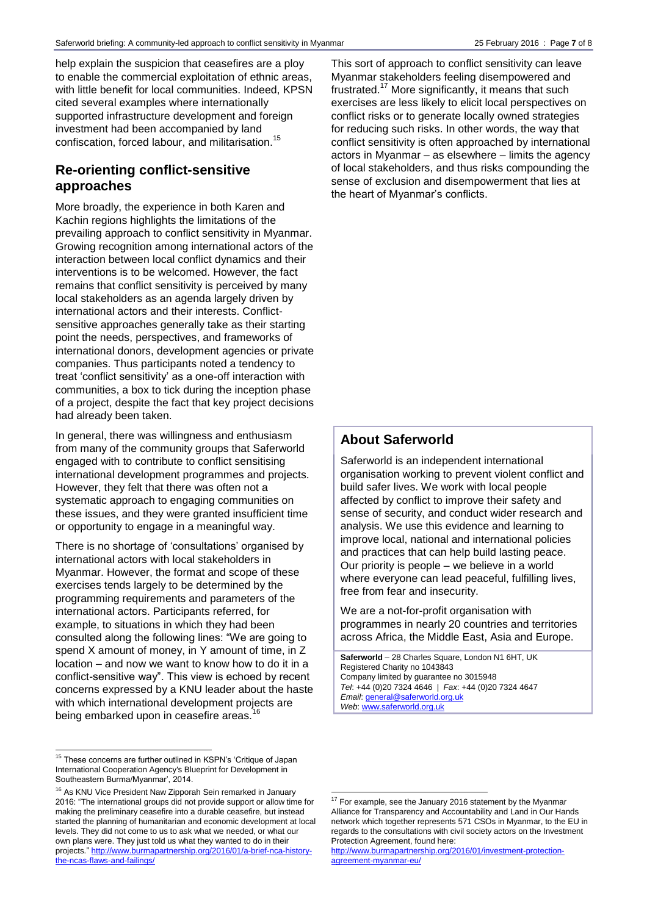help explain the suspicion that ceasefires are a ploy to enable the commercial exploitation of ethnic areas, with little benefit for local communities. Indeed, KPSN cited several examples where internationally supported infrastructure development and foreign investment had been accompanied by land confiscation, forced labour, and militarisation.<sup>15</sup>

## **Re-orienting conflict-sensitive approaches**

More broadly, the experience in both Karen and Kachin regions highlights the limitations of the prevailing approach to conflict sensitivity in Myanmar. Growing recognition among international actors of the interaction between local conflict dynamics and their interventions is to be welcomed. However, the fact remains that conflict sensitivity is perceived by many local stakeholders as an agenda largely driven by international actors and their interests. Conflictsensitive approaches generally take as their starting point the needs, perspectives, and frameworks of international donors, development agencies or private companies. Thus participants noted a tendency to treat 'conflict sensitivity' as a one-off interaction with communities, a box to tick during the inception phase of a project, despite the fact that key project decisions had already been taken.

In general, there was willingness and enthusiasm from many of the community groups that Saferworld engaged with to contribute to conflict sensitising international development programmes and projects. However, they felt that there was often not a systematic approach to engaging communities on these issues, and they were granted insufficient time or opportunity to engage in a meaningful way.

There is no shortage of 'consultations' organised by international actors with local stakeholders in Myanmar. However, the format and scope of these exercises tends largely to be determined by the programming requirements and parameters of the international actors. Participants referred, for example, to situations in which they had been consulted along the following lines: "We are going to spend X amount of money, in Y amount of time, in Z location – and now we want to know how to do it in a conflict-sensitive way". This view is echoed by recent concerns expressed by a KNU leader about the haste with which international development projects are being embarked upon in ceasefire areas.<sup>16</sup>

l

This sort of approach to conflict sensitivity can leave Myanmar stakeholders feeling disempowered and frustrated.<sup>17</sup> More significantly, it means that such exercises are less likely to elicit local perspectives on conflict risks or to generate locally owned strategies for reducing such risks. In other words, the way that conflict sensitivity is often approached by international actors in Myanmar – as elsewhere – limits the agency of local stakeholders, and thus risks compounding the sense of exclusion and disempowerment that lies at the heart of Myanmar's conflicts.

### **About Saferworld**

Saferworld is an independent international organisation working to prevent violent conflict and build safer lives. We work with local people affected by conflict to improve their safety and sense of security, and conduct wider research and analysis. We use this evidence and learning to improve local, national and international policies and practices that can help build lasting peace. Our priority is people – we believe in a world where everyone can lead peaceful, fulfilling lives, free from fear and insecurity.

We are a not-for-profit organisation with programmes in nearly 20 countries and territories across Africa, the Middle East, Asia and Europe.

**Saferworld** – 28 Charles Square, London N1 6HT, UK Registered Charity no 1043843 Company limited by guarantee no 3015948 *Tel*: +44 (0)20 7324 4646 | *Fax*: +44 (0)20 7324 4647 *Email*[: general@saferworld.org.uk](mailto:general@saferworld.org.uk) *Web*[: www.saferworld.org.uk](http://www.saferworld.org.uk/)

<sup>&</sup>lt;sup>15</sup> These concerns are further outlined in KSPN's 'Critique of Japan International Cooperation Agency's Blueprint for Development in Southeastern Burma/Myanmar', 2014.

<sup>&</sup>lt;sup>16</sup> As KNU Vice President Naw Zipporah Sein remarked in January 2016: "The international groups did not provide support or allow time for making the preliminary ceasefire into a durable ceasefire, but instead started the planning of humanitarian and economic development at local levels. They did not come to us to ask what we needed, or what our own plans were. They just told us what they wanted to do in their projects." [http://www.burmapartnership.org/2016/01/a-brief-nca-history](http://www.burmapartnership.org/2016/01/a-brief-nca-history-the-ncas-flaws-and-failings/)[the-ncas-flaws-and-failings/](http://www.burmapartnership.org/2016/01/a-brief-nca-history-the-ncas-flaws-and-failings/)

l  $17$  For example, see the January 2016 statement by the Myanmar Alliance for Transparency and Accountability and Land in Our Hands network which together represents 571 CSOs in Myanmar, to the EU in regards to the consultations with civil society actors on the Investment Protection Agreement, found here:

[http://www.burmapartnership.org/2016/01/investment-protection](http://www.burmapartnership.org/2016/01/investment-protection-agreement-myanmar-eu/)[agreement-myanmar-eu/](http://www.burmapartnership.org/2016/01/investment-protection-agreement-myanmar-eu/)